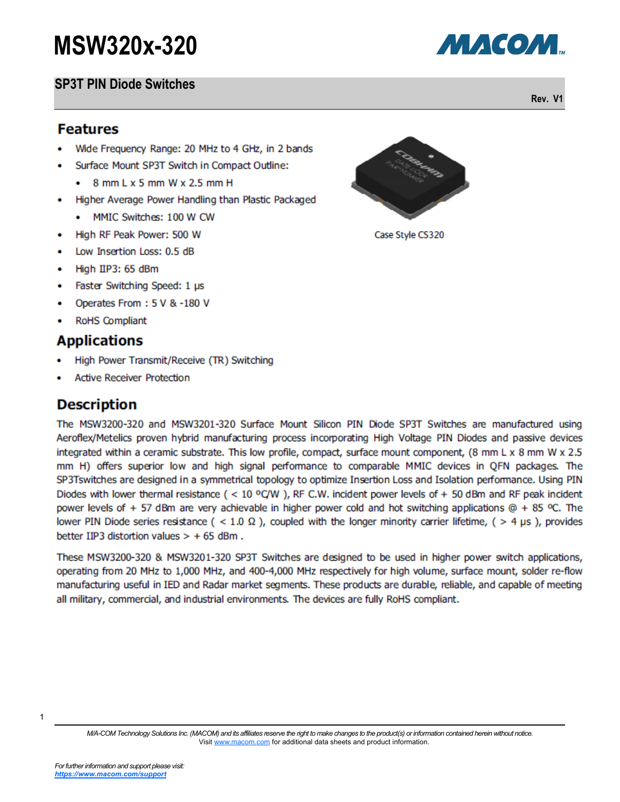### **SP3T PIN Diode Switches**

1

#### **Features**

- Wide Frequency Range: 20 MHz to 4 GHz, in 2 bands
- Surface Mount SP3T Switch in Compact Outline:
	- $\bullet$  8 mm L x 5 mm W x 2.5 mm H
- $\bullet$ Higher Average Power Handling than Plastic Packaged
	- MMTC Switches: 100 W CW
- High RF Peak Power: 500 W
- Low Insertion Loss: 0.5 dB
- High IIP3: 65 dBm
- Faster Switching Speed: 1 µs
- Operates From: 5 V & -180 V ٠
- **RoHS Compliant**

# **Applications**

- High Power Transmit/Receive (TR) Switching
- **Active Receiver Protection**

# **Description**

The MSW3200-320 and MSW3201-320 Surface Mount Silicon PIN Diode SP3T Switches are manufactured using Aeroflex/Metelics proven hybrid manufacturing process incorporating High Voltage PIN Diodes and passive devices integrated within a ceramic substrate. This low profile, compact, surface mount component, (8 mm L x 8 mm W x 2.5 mm H) offers superior low and high signal performance to comparable MMIC devices in QFN packages. The SP3Tswitches are designed in a symmetrical topology to optimize Insertion Loss and Isolation performance. Using PIN Diodes with lower thermal resistance ( < 10 °C/W), RF C.W. incident power levels of + 50 dBm and RF peak incident power levels of + 57 dBm are very achievable in higher power cold and hot switching applications  $@ + 85$  °C. The lower PIN Diode series resistance ( < 1.0  $\Omega$ ), coupled with the longer minority carrier lifetime, ( > 4 µs), provides better IIP3 distortion values  $> +65$  dBm.

These MSW3200-320 & MSW3201-320 SP3T Switches are designed to be used in higher power switch applications, operating from 20 MHz to 1,000 MHz, and 400-4,000 MHz respectively for high volume, surface mount, solder re-flow manufacturing useful in IED and Radar market segments. These products are durable, reliable, and capable of meeting all military, commercial, and industrial environments. The devices are fully RoHS compliant.



Case Style CS320



**Rev. V1**

*M/A-COM Technology Solutions Inc. (MACOM) and its affiliates reserve the right to make changes to the product(s) or information contained herein without notice.*  Visit [www.macom.com](http://www.macom.com/) for additional data sheets and product information.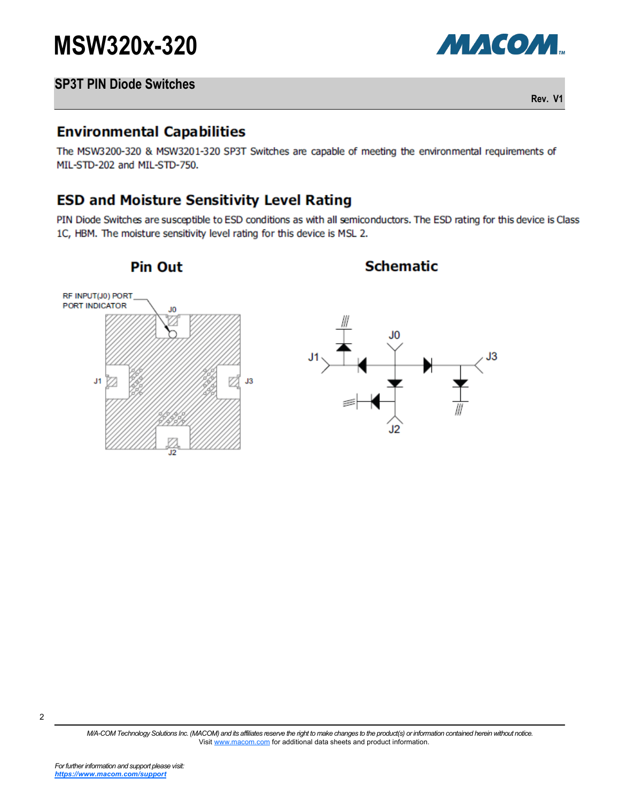



**Rev. V1**

### **Environmental Capabilities**

The MSW3200-320 & MSW3201-320 SP3T Switches are capable of meeting the environmental requirements of MIL-STD-202 and MIL-STD-750.

# **ESD and Moisture Sensitivity Level Rating**

PIN Diode Switches are susceptible to ESD conditions as with all semiconductors. The ESD rating for this device is Class 1C, HBM. The moisture sensitivity level rating for this device is MSL 2.



2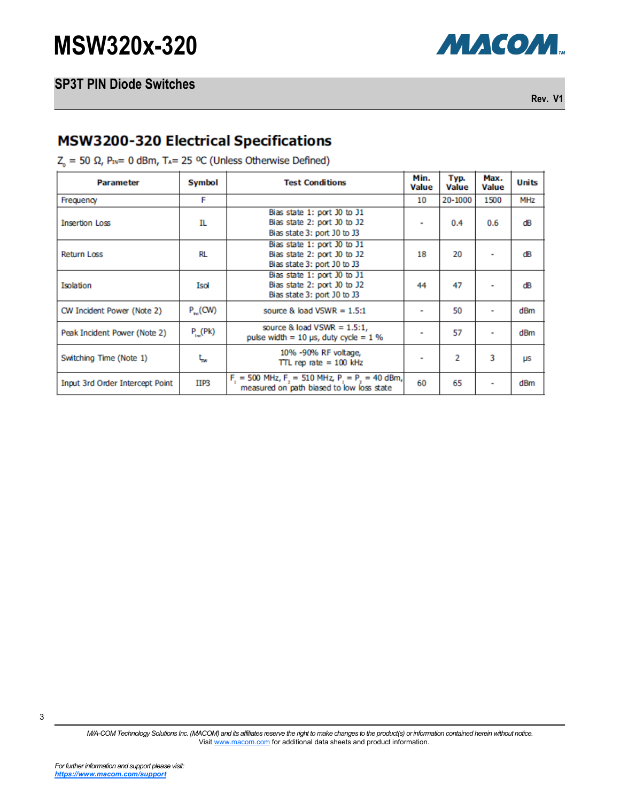

**Rev. V1**

# **MSW3200-320 Electrical Specifications**

 $Z_0 = 50 \Omega$ , P<sub>IN</sub>= 0 dBm, T<sub>A</sub>= 25 °C (Unless Otherwise Defined)

| <b>Parameter</b>                       | Symbol                                                                                          | <b>Test Conditions</b>                                                                               | Min.<br><b>Value</b> | Typ.<br><b>Value</b> | Max.<br><b>Value</b> | <b>Units</b> |
|----------------------------------------|-------------------------------------------------------------------------------------------------|------------------------------------------------------------------------------------------------------|----------------------|----------------------|----------------------|--------------|
| Frequency                              | F                                                                                               |                                                                                                      | 10                   | 20-1000              | 1500                 | <b>MHz</b>   |
| <b>Insertion Loss</b>                  | IL                                                                                              | Bias state 1: port J0 to J1<br>Bias state 2: port J0 to J2<br>Bias state 3: port J0 to J3            |                      | 0.4                  | 0.6                  | ďB           |
| <b>Return Loss</b>                     | Bias state 1: port J0 to J1<br>RL<br>Bias state 2: port J0 to J2<br>Bias state 3: port J0 to J3 |                                                                                                      |                      | 20                   |                      | dΒ           |
| Isolation                              | Isol                                                                                            | Bias state 1: port J0 to J1<br>Bias state 2: port J0 to J2<br>Bias state 3: port J0 to J3            | 44                   | 47                   |                      | ďB           |
| CW Incident Power (Note 2)             | $P_{nc}(CW)$                                                                                    | source & load VSWR = $1.5:1$                                                                         | ۰                    | 50                   |                      | dBm          |
| Peak Incident Power (Note 2)           | $P_{\mu\nu}$ (Pk)                                                                               | source & load $VSWR = 1.5:1$ ,<br>pulse width = $10 \mu s$ , duty cycle = $1 \%$                     |                      | 57                   | ٠                    | dBm          |
| Switching Time (Note 1)                | ţ,                                                                                              | 10% -90% RF voltage,<br>TTL rep rate $= 100$ kHz                                                     |                      | $\overline{2}$       | 3                    | μs           |
| <b>Input 3rd Order Intercept Point</b> | IIP3                                                                                            | $F_1 = 500$ MHz, $F_2 = 510$ MHz, $P_1 = P_2 = 40$ dBm,<br>measured on path biased to low loss state |                      | 65                   |                      | dBm          |

3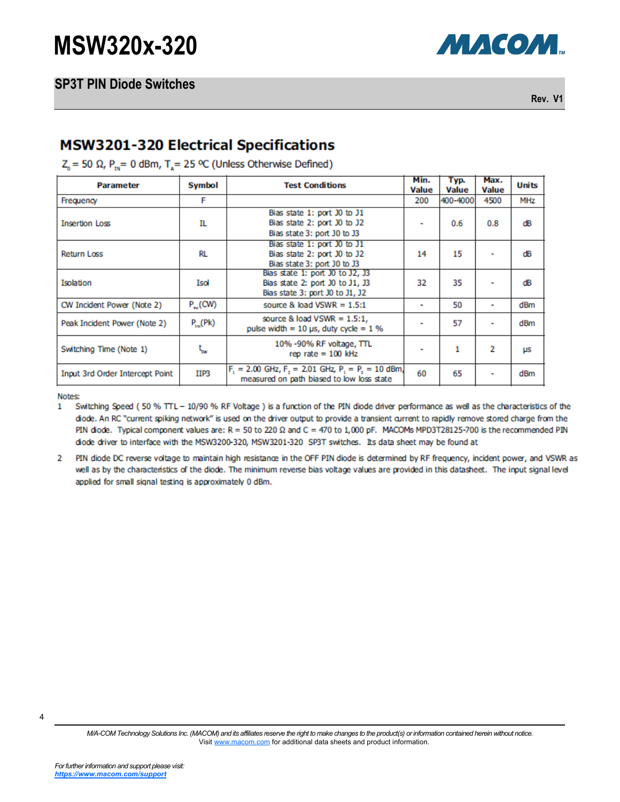

**Rev. V1**

### **MSW3201-320 Electrical Specifications**

 $Z_0$  = 50 Ω, P<sub>1N</sub> = 0 dBm, T<sub>4</sub> = 25 °C (Unless Otherwise Defined)

| <b>Parameter</b>                       | Symbol          | <b>Test Conditions</b>                                                                                 | Min.<br><b>Value</b> | Typ.<br><b>Value</b> | Max.<br><b>Value</b> | <b>Units</b>    |
|----------------------------------------|-----------------|--------------------------------------------------------------------------------------------------------|----------------------|----------------------|----------------------|-----------------|
| Frequency                              | F               |                                                                                                        | 200                  | 400-4000             | 4500                 | <b>MHz</b>      |
| <b>Insertion Loss</b>                  | IL              | Bias state 1: port J0 to J1<br>Bias state 2: port J0 to J2<br>Bias state 3: port J0 to J3              |                      | 0.6                  | 0.8                  | dΒ              |
| <b>Return Loss</b>                     | RL              | Bias state 1: port J0 to J1<br>Bias state 2: port J0 to J2<br>Bias state 3: port J0 to J3              | 14                   | 15                   |                      | dΒ              |
| Isolation                              | Isol            | Bias state 1: port J0 to J2, J3<br>Bias state 2: port J0 to J1, J3<br>Bias state 3: port J0 to J1, J2  | 32                   | 35                   |                      | dΒ              |
| CW Incident Power (Note 2)             | $P_{\sim}$ (CW) | source & load VSWR = $1.5:1$                                                                           |                      | 50                   | ٠                    | dB <sub>m</sub> |
| Peak Incident Power (Note 2)           | $P_{loc}(Pk)$   | source & load $VSWR = 1.5:1$ ,<br>pulse width = $10 \mu s$ , duty cycle = $1 \%$                       |                      | 57                   |                      | dBm             |
| Switching Time (Note 1)                | t<br>sw         | 10% -90% RF voltage, TTL<br>rep rate $= 100$ kHz                                                       |                      | 1                    | 2                    | μs              |
| <b>Input 3rd Order Intercept Point</b> | IIP3            | $F_1 = 2.00$ GHz, $F_2 = 2.01$ GHz, $P_1 = P_2 = 10$ dBm,<br>measured on path biased to low loss state |                      | 65                   |                      | dBm             |

Notes:

Switching Speed (50 % TTL - 10/90 % RF Voltage ) is a function of the PIN diode driver performance as well as the characteristics of the  $\mathbf{1}$ diode. An RC "current spiking network" is used on the driver output to provide a transient current to rapidly remove stored charge from the PIN diode. Typical component values are:  $R = 50$  to 220  $\Omega$  and  $C = 470$  to 1,000 pF. MACOMs MPD3T28125-700 is the recommended PIN diode driver to interface with the MSW3200-320, MSW3201-320 SP3T switches. Its data sheet may be found at

 $\overline{2}$ PIN diode DC reverse voltage to maintain high resistance in the OFF PIN diode is determined by RF frequency, incident power, and VSWR as well as by the characteristics of the diode. The minimum reverse bias voltage values are provided in this datasheet. The input signal level applied for small signal testing is approximately 0 dBm.

4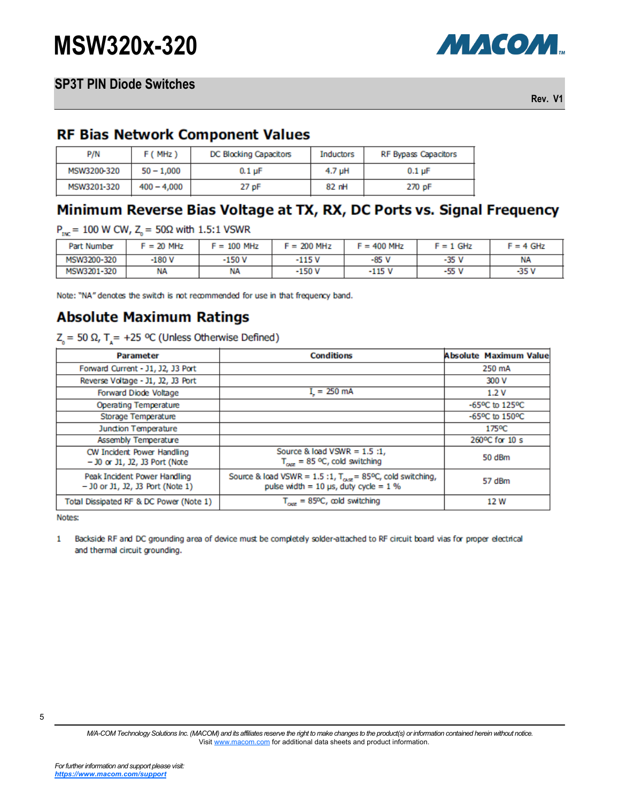

**Rev. V1**

### **RF Bias Network Component Values**

| P/N         | F(MHz)        | DC Blocking Capacitors | Inductors | RF Bypass Capacitors      |
|-------------|---------------|------------------------|-----------|---------------------------|
| MSW3200-320 | $50 - 1,000$  | $0.1 \mu F$            | 4.7 uH    | $0.1 \text{ }\mu\text{F}$ |
| MSW3201-320 | $400 - 4,000$ | 27 pF                  | 82 nH     | 270 pF                    |

# Minimum Reverse Bias Voltage at TX, RX, DC Ports vs. Signal Frequency

 $P_{\text{tot}}$  = 100 W CW, Z<sub>n</sub> = 50Ω with 1.5:1 VSWR

| Part Number | $F = 20$ MHz | $F = 100$ MHz | $F = 200$ MHz | $F = 400$ MHz | $F = 1$ GHz | $F = 4$ GHz |
|-------------|--------------|---------------|---------------|---------------|-------------|-------------|
| MSW3200-320 | $-180V$      | $-150V$       | -115 V        | $-85V$        | -35 V       | ΝA          |
| MSW3201-320 | ΝA           | NA            | -150 V        | -115 V        | -55 V       | -35 V       |

Note: "NA" denotes the switch is not recommended for use in that frequency band.

# **Absolute Maximum Ratings**

 $Z<sub>o</sub>$  = 50 Ω, T<sub> $x$ </sub> = +25 °C (Unless Otherwise Defined)

| <b>Parameter</b>                                                   | <b>Conditions</b>                                                                                                         | <b>Absolute Maximum Value</b>                |
|--------------------------------------------------------------------|---------------------------------------------------------------------------------------------------------------------------|----------------------------------------------|
| Forward Current - J1, J2, J3 Port                                  |                                                                                                                           | 250 mA                                       |
| Reverse Voltage - J1, J2, J3 Port                                  |                                                                                                                           | 300 V                                        |
| Forward Diode Voltage                                              | $I = 250$ mA                                                                                                              | 1.2V                                         |
| Operating Temperature                                              |                                                                                                                           | $-65^{\circ}$ C to $125^{\circ}$ C           |
| Storage Temperature                                                |                                                                                                                           | $-65$ <sup>o</sup> C to $150$ <sup>o</sup> C |
| Junction Temperature                                               |                                                                                                                           | 175°C                                        |
| Assembly Temperature                                               |                                                                                                                           | 260°C for 10 s                               |
| CW Incident Power Handling<br>$-$ 30 or 31, 32, 33 Port (Note      | Source & load VSWR = $1.5:1$ ,<br>$T_{\text{osc}}$ = 85 °C, cold switching                                                | 50 dBm                                       |
| Peak Incident Power Handling<br>$-$ 30 or 31, 32, 33 Port (Note 1) | Source & load VSWR = $1.5:1$ , T <sub>osz</sub> = 85°C, cold switching,<br>pulse width = $10 \mu s$ , duty cycle = $1 \%$ | 57 dBm                                       |
| Total Dissipated RF & DC Power (Note 1)                            | $T_{\text{corr}}$ = 85°C, cold switching                                                                                  | 12 W                                         |

Notes:

Backside RF and DC grounding area of device must be completely solder-attached to RF circuit board vias for proper electrical  $\mathbf{1}$ and thermal circuit grounding.

*M/A-COM Technology Solutions Inc. (MACOM) and its affiliates reserve the right to make changes to the product(s) or information contained herein without notice.*  Visit [www.macom.com](http://www.macom.com/) for additional data sheets and product information.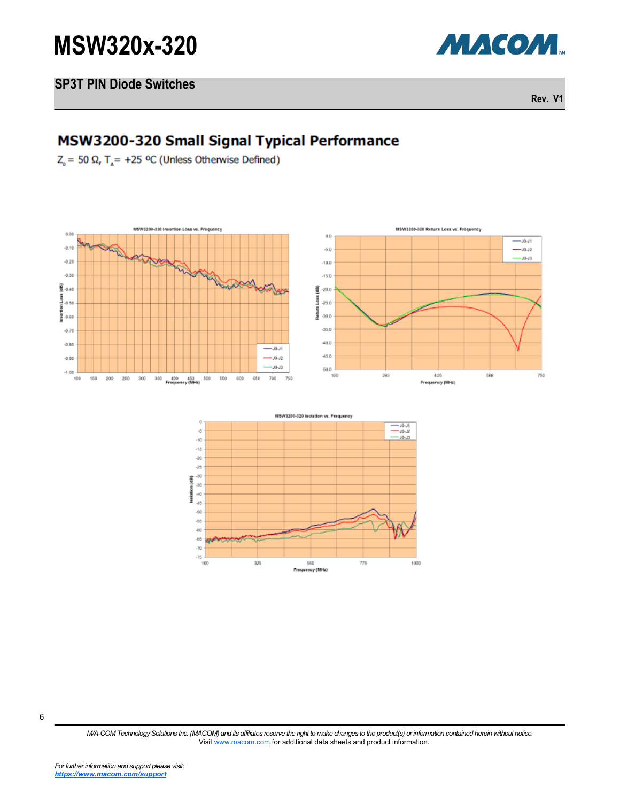

#### **SP3T PIN Diode Switches**

**Rev. V1**

# MSW3200-320 Small Signal Typical Performance

 $Z_0$  = 50 Ω, T<sub>4</sub> = +25 °C (Unless Otherwise Defined)





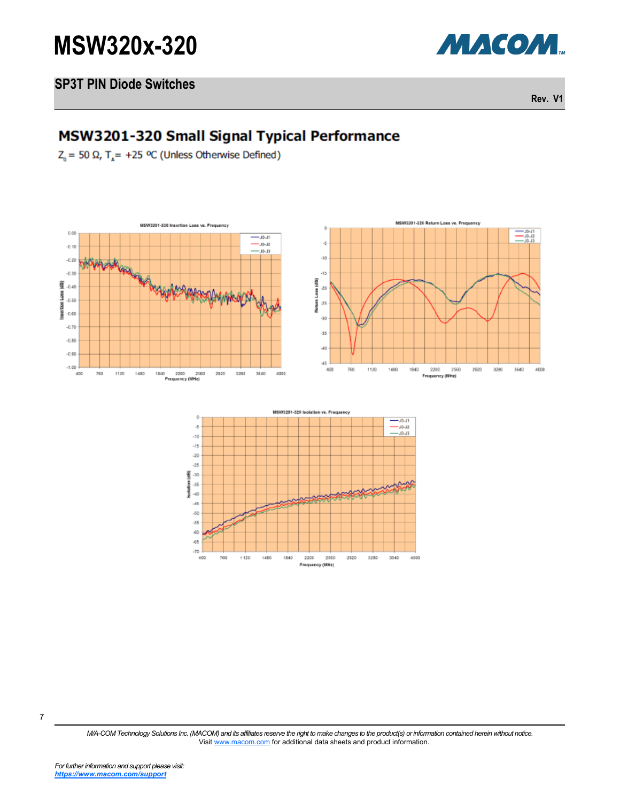

#### **SP3T PIN Diode Switches**

**Rev. V1**

### MSW3201-320 Small Signal Typical Performance

 $Z<sub>n</sub> = 50 Ω$ , T<sub>a</sub> = +25 °C (Unless Otherwise Defined)





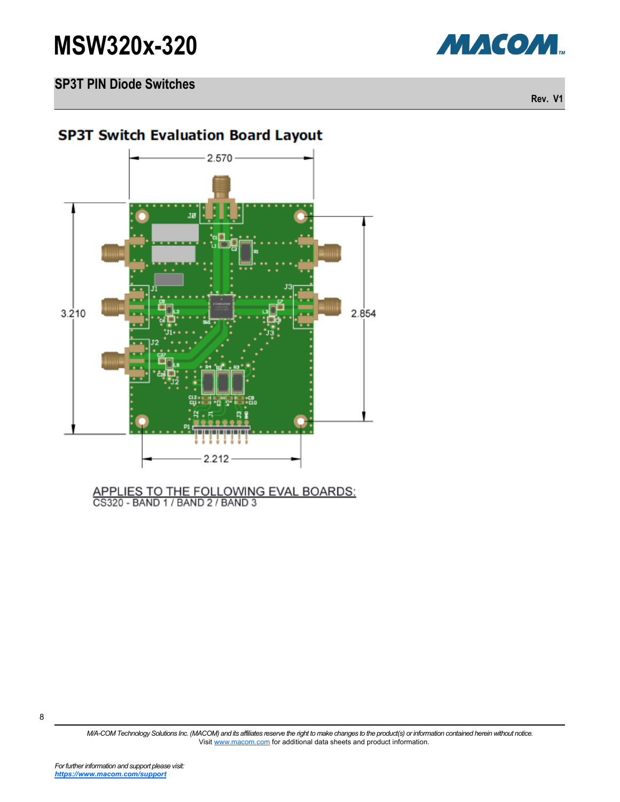



**Rev. V1**

### **SP3T Switch Evaluation Board Layout**



# APPLIES TO THE FOLLOWING EVAL BOARDS:<br>CS320 - BAND 1 / BAND 2 / BAND 3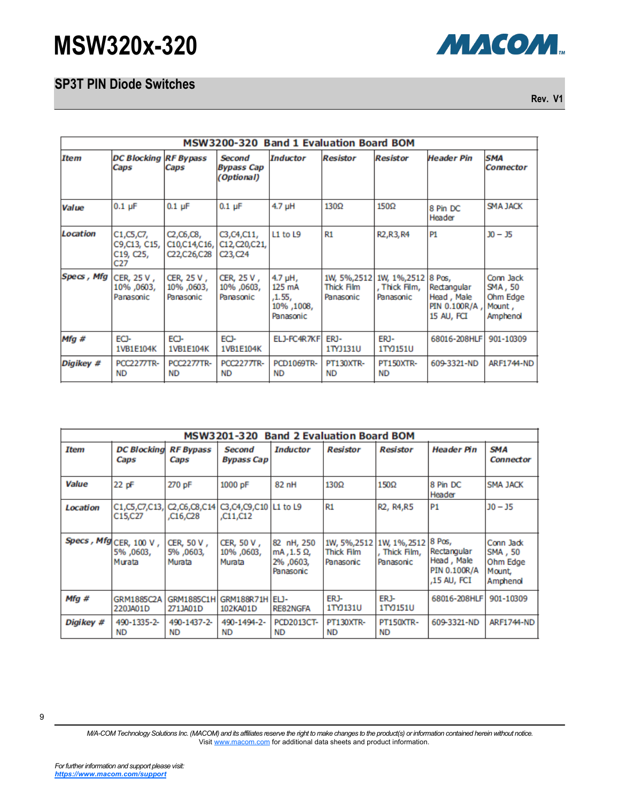### **SP3T PIN Diode Switches**



**Rev. V1**

|                    | MSW3200-320 Band 1 Evaluation Board BOM         |                                            |                                                                     |                                                          |                                                |                                                   |                                                          |                                                        |  |
|--------------------|-------------------------------------------------|--------------------------------------------|---------------------------------------------------------------------|----------------------------------------------------------|------------------------------------------------|---------------------------------------------------|----------------------------------------------------------|--------------------------------------------------------|--|
| <b>Item</b>        | <b>DC Blocking</b><br>Caps                      | <b>RF Bypass</b><br>Caps                   | Second<br><b>Bypass Cap</b><br>(Optional)                           | <b>Inductor</b>                                          | <b>Resistor</b>                                | <b>Resistor</b>                                   | Header Pin                                               | <b>SMA</b><br><b>Connector</b>                         |  |
| Value              | $0.1$ $\mu$ F                                   | $0.1$ µF                                   | $0.1$ µF                                                            | $4.7$ µH                                                 | 130Ω                                           | 150Ω                                              | 8 Pin DC<br>Header                                       | <b>SMA JACK</b>                                        |  |
| Location           | C1, C5, C7,<br>C9,C13, C15,<br>C19, C25,<br>C27 | C2, C6, C8,<br>C10,C14,C16,<br>C22,C26,C28 | C3, C4, C11,<br>C12, C20, C21,<br>C <sub>23</sub> , C <sub>24</sub> | L1 to L9                                                 | R1                                             | R <sub>2</sub> , R <sub>3</sub> , R <sub>4</sub>  | P <sub>1</sub>                                           | $30 - 35$                                              |  |
| <b>Specs</b> , Mfg | CER, 25 V,<br>10%,0603,<br>Panasonic            | CER, 25 V,<br>10%, 0603,<br>Panasonic      | CER, 25 V,<br>10%, 0603,<br>Panasonic                               | $4.7$ µH,<br>125 mA<br>,1.55,<br>10%, 1008,<br>Panasonic | 1W, 5%, 2512<br><b>Thick Film</b><br>Panasonic | 1W, 1%, 2512 8 Pos,<br>, Thick Film,<br>Panasonic | Rectangular<br>Head, Male<br>PIN 0.100R/A,<br>15 AU, FCI | Conn Jack<br>SMA, 50<br>Ohm Edge<br>Mount,<br>Amphenol |  |
| Mfg#               | ECI-<br>1VB1E104K                               | ECJ-<br>1VB1E104K                          | ECI-<br>1VB1E104K                                                   | ELJ-FC4R7KF                                              | ERJ-<br>1TYJ131U                               | ERJ-<br>1TYJ151U                                  | 68016-208HLF                                             | 901-10309                                              |  |
| Digikey #          | <b>PCC2277TR-</b><br><b>ND</b>                  | <b>PCC2277TR-</b><br>ND                    | <b>PCC2277TR-</b><br><b>ND</b>                                      | <b>PCD1069TR-</b><br><b>ND</b>                           | <b>PT130XTR-</b><br><b>ND</b>                  | <b>PT150XTR-</b><br><b>ND</b>                     | 609-3321-ND                                              | <b>ARF1744-ND</b>                                      |  |

| <b>Band 2 Evaluation Board BOM</b><br>MSW3201-320 |                                              |                                                    |                                    |                                                    |                                         |                                          |                                                                    |                                                        |
|---------------------------------------------------|----------------------------------------------|----------------------------------------------------|------------------------------------|----------------------------------------------------|-----------------------------------------|------------------------------------------|--------------------------------------------------------------------|--------------------------------------------------------|
| Item                                              | <b>DC Blocking</b><br>Caps                   | <b>RF Bypass</b><br>Caps                           | <b>Second</b><br><b>Bypass Cap</b> | <b>Inductor</b>                                    | <b>Resistor</b>                         | <b>Resistor</b>                          | Header Pin                                                         | SMA<br><b>Connector</b>                                |
| <b>Value</b>                                      | $22$ pF                                      | 270 pF                                             | 1000 pF                            | 82 nH                                              | $130\Omega$                             | $150\Omega$                              | 8 Pin DC<br>Header                                                 | <b>SMA JACK</b>                                        |
| Location                                          | C1,C5,C7,C13,<br>C15,C27                     | C2, C6, C8, C14<br>C <sub>16</sub> C <sub>28</sub> | C3,C4,C9,C10 L1 to L9<br>C11,C12,  |                                                    | R1                                      | R2, R4, R5                               | <b>P1</b>                                                          | $10 - 15$                                              |
|                                                   | Specs, Mfg CER, 100 V,<br>5%,0603,<br>Murata | CER, 50 V,<br>5%,0603,<br>Murata                   | CER, 50 V,<br>10%, 0603,<br>Murata | 82 nH, 250<br>mA , 1.5 Ω,<br>2%,0603,<br>Panasonic | 1W, 5%, 2512<br>Thick Film<br>Panasonic | 1W, 1%, 2512<br>Thick Film,<br>Panasonic | 8 Pos,<br>Rectangular<br>Head, Male<br>PIN 0.100R/A<br>,15 AU, FCI | Conn Jack<br>SMA, 50<br>Ohm Edge<br>Mount,<br>Amphenol |
| $Mfq \#$                                          | GRM1885C2A<br>220JA01D                       | <b>GRM1885C1H</b><br>271JA01D                      | GRM188R71H ELJ-<br>102KA01D        | <b>RE82NGFA</b>                                    | ER <sub>J</sub> -<br>1TYJ131U           | ER <sub>J</sub> -<br>1TYJ151U            | 68016-208HLF                                                       | 901-10309                                              |
| Digikey #                                         | 490-1335-2-<br><b>ND</b>                     | 490-1437-2-<br><b>ND</b>                           | 490-1494-2-<br><b>ND</b>           | PCD2013CT-<br><b>ND</b>                            | PT130XTR-<br><b>ND</b>                  | <b>PT150XTR-</b><br><b>ND</b>            | 609-3321-ND                                                        | <b>ARF1744-ND</b>                                      |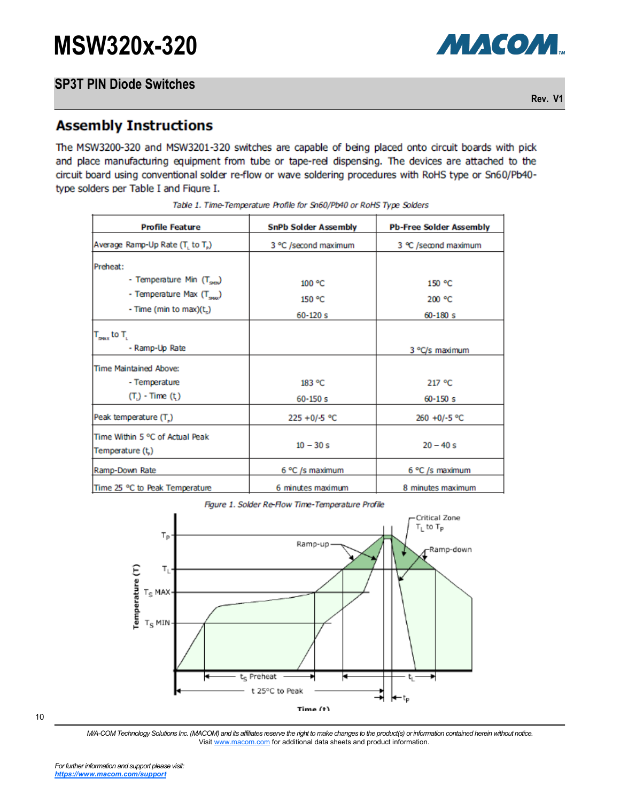**Rev. V1**

### **Assembly Instructions**

The MSW3200-320 and MSW3201-320 switches are capable of being placed onto circuit boards with pick and place manufacturing equipment from tube or tape-reel dispensing. The devices are attached to the circuit board using conventional solder re-flow or wave soldering procedures with RoHS type or Sn60/Pb40type solders per Table I and Figure I.

| <b>Profile Feature</b>                               | <b>SnPb Solder Assembly</b> | <b>Pb-Free Solder Assembly</b> |  |  |
|------------------------------------------------------|-----------------------------|--------------------------------|--|--|
| Average Ramp-Up Rate (T, to T.)                      | 3 °C /second maximum        | 3 ℃ /second maximum            |  |  |
| Preheat:                                             |                             |                                |  |  |
| - Temperature Min (T <sub>90</sub> )                 | 100 °C                      | 150 °C                         |  |  |
| - Temperature Max (T <sub>owx</sub> )                | 150 °C                      | 200 °C                         |  |  |
| - Time (min to max) $(t_n)$                          | $60 - 120s$                 | $60 - 180s$                    |  |  |
| $T_{\text{gux}}$ to $T_{\text{g}}$<br>- Ramp-Up Rate |                             | 3 °C/s maximum                 |  |  |
| Time Maintained Above:                               |                             |                                |  |  |
| - Temperature                                        | 183 °C                      | 217 °C                         |  |  |
| $(Ti) - Time (ti)$                                   | $60 - 150s$                 | $60 - 150s$                    |  |  |
| Peak temperature (T)                                 | $225 + 0/ -5$ °C            | 260 +0/-5 °C                   |  |  |
| Time Within 5 °C of Actual Peak<br>Temperature (t)   | $10 - 30 s$                 | $20 - 40 s$                    |  |  |
| Ramp-Down Rate                                       | 6 °C /s maximum             | 6 °C /s maximum                |  |  |
| Time 25 °C to Peak Temperature                       | 6 minutes maximum           | 8 minutes maximum              |  |  |

|  |  |  | Table 1. Time-Temperature Profile for Sn60/Pb40 or RoHS Type Solders |  |  |
|--|--|--|----------------------------------------------------------------------|--|--|
|  |  |  |                                                                      |  |  |

Figure 1. Solder Re-Flow Time-Temperature Profile



10

*M/A-COM Technology Solutions Inc. (MACOM) and its affiliates reserve the right to make changes to the product(s) or information contained herein without notice.*  Visit [www.macom.com](http://www.macom.com/) for additional data sheets and product information.

МАСОМ.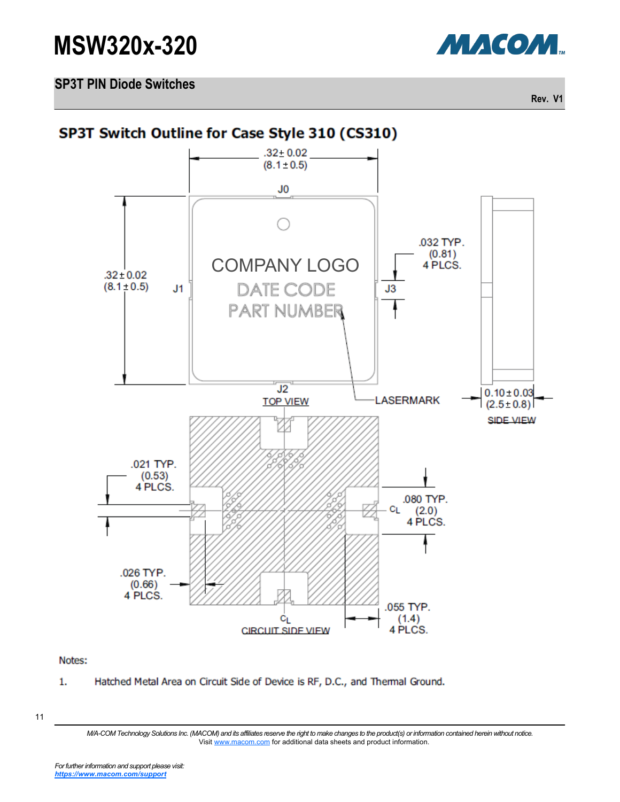

**SP3T PIN Diode Switches**

**Rev. V1**



Notes:

1. Hatched Metal Area on Circuit Side of Device is RF, D.C., and Thermal Ground.

11

*M/A-COM Technology Solutions Inc. (MACOM) and its affiliates reserve the right to make changes to the product(s) or information contained herein without notice.*  Visit [www.macom.com](http://www.macom.com/) for additional data sheets and product information.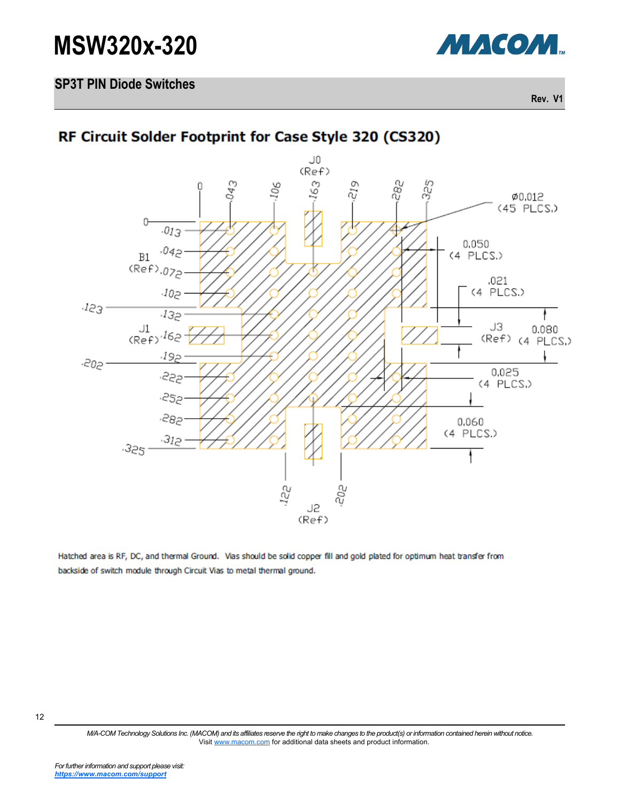

#### **SP3T PIN Diode Switches**

**Rev. V1**

# RF Circuit Solder Footprint for Case Style 320 (CS320)



Hatched area is RF, DC, and thermal Ground. Vias should be solid copper fill and gold plated for optimum heat transfer from backside of switch module through Circuit Vias to metal thermal ground.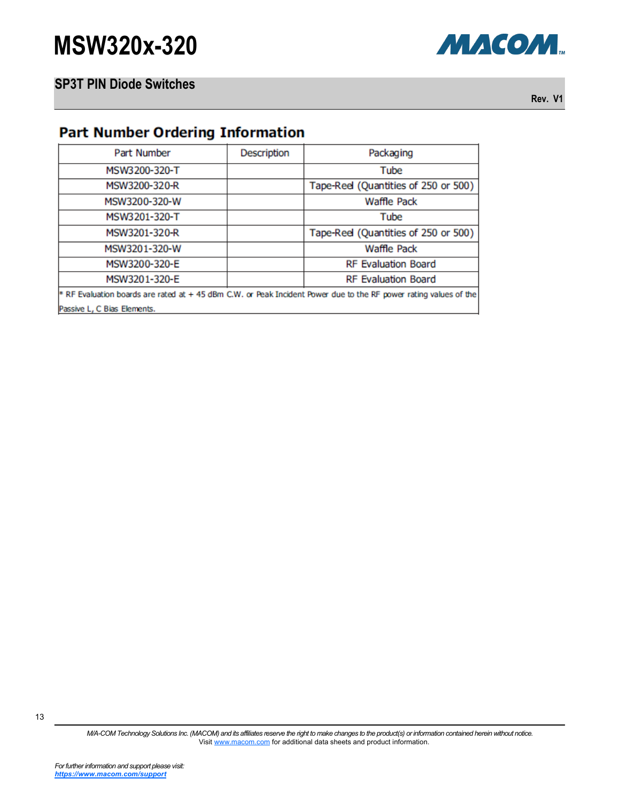

**Rev. V1**

### **Part Number Ordering Information**

| Part Number                                                                                                      | Description                | Packaging                            |  |  |  |  |  |
|------------------------------------------------------------------------------------------------------------------|----------------------------|--------------------------------------|--|--|--|--|--|
| MSW3200-320-T                                                                                                    |                            | Tube                                 |  |  |  |  |  |
| MSW3200-320-R                                                                                                    |                            | Tape-Reel (Quantities of 250 or 500) |  |  |  |  |  |
| MSW3200-320-W                                                                                                    |                            | <b>Waffle Pack</b>                   |  |  |  |  |  |
| MSW3201-320-T                                                                                                    |                            | Tube                                 |  |  |  |  |  |
| MSW3201-320-R                                                                                                    |                            | Tape-Reel (Quantities of 250 or 500) |  |  |  |  |  |
| MSW3201-320-W                                                                                                    |                            | <b>Waffle Pack</b>                   |  |  |  |  |  |
| MSW3200-320-E                                                                                                    |                            | <b>RF Evaluation Board</b>           |  |  |  |  |  |
| MSW3201-320-E                                                                                                    | <b>RF Evaluation Board</b> |                                      |  |  |  |  |  |
| * RF Evaluation boards are rated at +45 dBm C.W. or Peak Incident Power due to the RF power rating values of the |                            |                                      |  |  |  |  |  |
| Passive L. C Bias Elements.                                                                                      |                            |                                      |  |  |  |  |  |